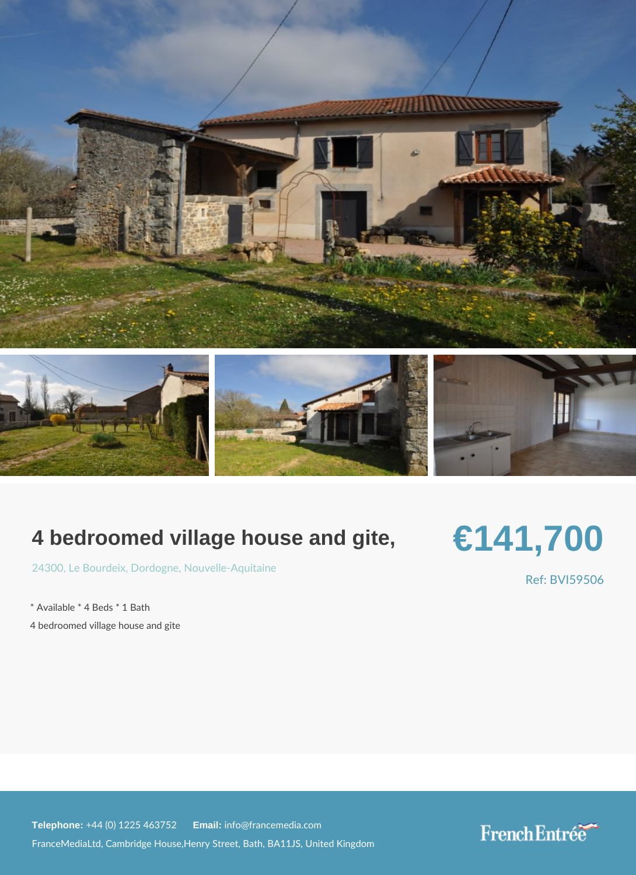## 4 bedroomed village house and gite,

## €141,700

[2430](https://www.frenchentree.com/property-for-sale/property-for-sale-france/24300-xx-le+bourdeix-xx-dordogne-xx-nouvelle-aquitaine),  $0$  e Bour, Decirclog Nouvelle-Aquitaine

\* Available \* 4 Beds \* 1 Bath

4 bedroomed village house and gite

Ref: BVI59506

Telephone:  $+44$  (0) 1225 46 Ematilian fo@francemedia.com FranceMediaLtd, Cambridge House,Henry Street, Bath, BA11JS, United Kingdom